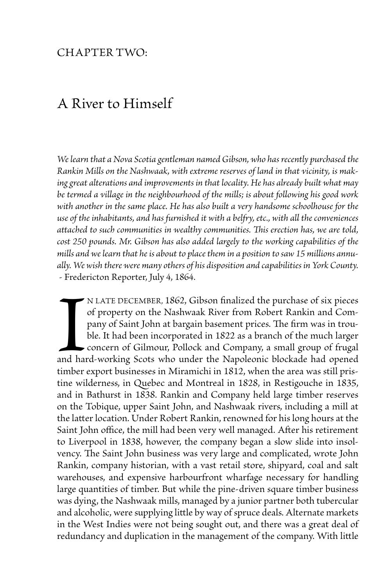## CHAPTER TWO:

## A River to Himself

*We learn that a Nova Scotia gentleman named Gibson, who has recently purchased the Rankin Mills on the Nashwaak, with extreme reserves of land in that vicinity, is making great alterations and improvements in that locality. He has already built what may be termed a village in the neighbourhood of the mills; is about following his good work with another in the same place. He has also built a very handsome schoolhouse for the use of the inhabitants, and has furnished it with a belfry, etc., with all the conveniences attached to such communities in wealthy communities. This erection has, we are told, cost 250 pounds. Mr. Gibson has also added largely to the working capabilities of the mills and we learn that he is about to place them in a position to saw 15 millions annually. We wish there were many others of his disposition and capabilities in York County.* - Fredericton Reporter, July 4, 1864.

and hard timber n late December, 1862, Gibson finalized the purchase of six pieces of property on the Nashwaak River from Robert Rankin and Company of Saint John at bargain basement prices. The firm was in trouble. It had been incorporated in 1822 as a branch of the much larger concern of Gilmour, Pollock and Company, a small group of frugal and hard-working Scots who under the Napoleonic blockade had opened timber export businesses in Miramichi in 1812, when the area was still pristine wilderness, in Quebec and Montreal in 1828, in Restigouche in 1835, and in Bathurst in 1838. Rankin and Company held large timber reserves on the Tobique, upper Saint John, and Nashwaak rivers, including a mill at the latter location. Under Robert Rankin, renowned for his long hours at the Saint John office, the mill had been very well managed. After his retirement to Liverpool in 1838, however, the company began a slow slide into insolvency. The Saint John business was very large and complicated, wrote John Rankin, company historian, with a vast retail store, shipyard, coal and salt warehouses, and expensive harbourfront wharfage necessary for handling large quantities of timber. But while the pine-driven square timber business was dying, the Nashwaak mills, managed by a junior partner both tubercular and alcoholic, were supplying little by way of spruce deals. Alternate markets in the West Indies were not being sought out, and there was a great deal of redundancy and duplication in the management of the company. With little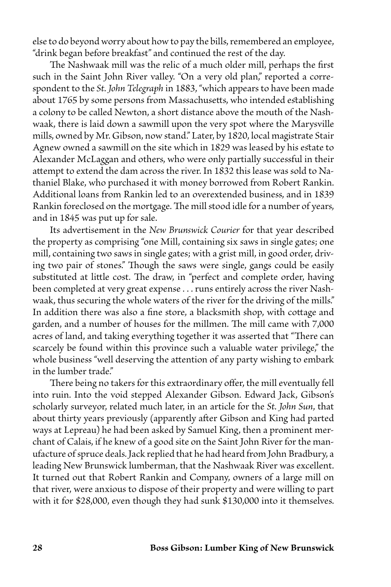else to do beyond worry about how to pay the bills, remembered an employee, "drink began before breakfast" and continued the rest of the day.

The Nashwaak mill was the relic of a much older mill, perhaps the first such in the Saint John River valley. "On a very old plan," reported a correspondent to the *St. John Telegraph* in 1883, "which appears to have been made about 1765 by some persons from Massachusetts, who intended establishing a colony to be called Newton, a short distance above the mouth of the Nashwaak, there is laid down a sawmill upon the very spot where the Marysville mills, owned by Mr. Gibson, now stand." Later, by 1820, local magistrate Stair Agnew owned a sawmill on the site which in 1829 was leased by his estate to Alexander McLaggan and others, who were only partially successful in their attempt to extend the dam across the river. In 1832 this lease was sold to Nathaniel Blake, who purchased it with money borrowed from Robert Rankin. Additional loans from Rankin led to an overextended business, and in 1839 Rankin foreclosed on the mortgage. The mill stood idle for a number of years, and in 1845 was put up for sale.

Its advertisement in the *New Brunswick Courier* for that year described the property as comprising "one Mill, containing six saws in single gates; one mill, containing two saws in single gates; with a grist mill, in good order, driving two pair of stones." Though the saws were single, gangs could be easily substituted at little cost. The draw, in "perfect and complete order, having been completed at very great expense . . . runs entirely across the river Nashwaak, thus securing the whole waters of the river for the driving of the mills." In addition there was also a fine store, a blacksmith shop, with cottage and garden, and a number of houses for the millmen. The mill came with 7,000 acres of land, and taking everything together it was asserted that "There can scarcely be found within this province such a valuable water privilege," the whole business "well deserving the attention of any party wishing to embark in the lumber trade."

There being no takers for this extraordinary offer, the mill eventually fell into ruin. Into the void stepped Alexander Gibson. Edward Jack, Gibson's scholarly surveyor, related much later, in an article for the *St. John Sun*, that about thirty years previously (apparently after Gibson and King had parted ways at Lepreau) he had been asked by Samuel King, then a prominent merchant of Calais, if he knew of a good site on the Saint John River for the manufacture of spruce deals. Jack replied that he had heard from John Bradbury, a leading New Brunswick lumberman, that the Nashwaak River was excellent. It turned out that Robert Rankin and Company, owners of a large mill on that river, were anxious to dispose of their property and were willing to part with it for \$28,000, even though they had sunk \$130,000 into it themselves.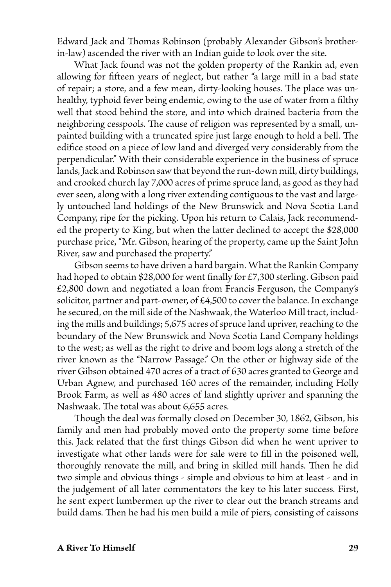Edward Jack and Thomas Robinson (probably Alexander Gibson's brotherin-law) ascended the river with an Indian guide to look over the site.

What Jack found was not the golden property of the Rankin ad, even allowing for fifteen years of neglect, but rather "a large mill in a bad state of repair; a store, and a few mean, dirty-looking houses. The place was unhealthy, typhoid fever being endemic, owing to the use of water from a filthy well that stood behind the store, and into which drained bacteria from the neighboring cesspools. The cause of religion was represented by a small, unpainted building with a truncated spire just large enough to hold a bell. The edifice stood on a piece of low land and diverged very considerably from the perpendicular." With their considerable experience in the business of spruce lands, Jack and Robinson saw that beyond the run-down mill, dirty buildings, and crooked church lay 7,000 acres of prime spruce land, as good as they had ever seen, along with a long river extending contiguous to the vast and largely untouched land holdings of the New Brunswick and Nova Scotia Land Company, ripe for the picking. Upon his return to Calais, Jack recommended the property to King, but when the latter declined to accept the \$28,000 purchase price, "Mr. Gibson, hearing of the property, came up the Saint John River, saw and purchased the property."

Gibson seems to have driven a hard bargain. What the Rankin Company had hoped to obtain \$28,000 for went finally for £7,300 sterling. Gibson paid £2,800 down and negotiated a loan from Francis Ferguson, the Company's solicitor, partner and part-owner, of £4,500 to cover the balance. In exchange he secured, on the mill side of the Nashwaak, the Waterloo Mill tract, including the mills and buildings; 5,675 acres of spruce land upriver, reaching to the boundary of the New Brunswick and Nova Scotia Land Company holdings to the west; as well as the right to drive and boom logs along a stretch of the river known as the "Narrow Passage." On the other or highway side of the river Gibson obtained 470 acres of a tract of 630 acres granted to George and Urban Agnew, and purchased 160 acres of the remainder, including Holly Brook Farm, as well as 480 acres of land slightly upriver and spanning the Nashwaak. The total was about 6,655 acres.

Though the deal was formally closed on December 30, 1862, Gibson, his family and men had probably moved onto the property some time before this. Jack related that the first things Gibson did when he went upriver to investigate what other lands were for sale were to fill in the poisoned well, thoroughly renovate the mill, and bring in skilled mill hands. Then he did two simple and obvious things - simple and obvious to him at least - and in the judgement of all later commentators the key to his later success. First, he sent expert lumbermen up the river to clear out the branch streams and build dams. Then he had his men build a mile of piers, consisting of caissons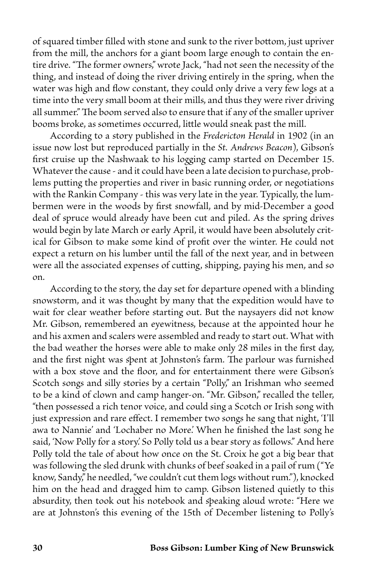of squared timber filled with stone and sunk to the river bottom, just upriver from the mill, the anchors for a giant boom large enough to contain the entire drive. "The former owners," wrote Jack, "had not seen the necessity of the thing, and instead of doing the river driving entirely in the spring, when the water was high and flow constant, they could only drive a very few logs at a time into the very small boom at their mills, and thus they were river driving all summer." The boom served also to ensure that if any of the smaller upriver booms broke, as sometimes occurred, little would sneak past the mill.

According to a story published in the *Fredericton Herald* in 1902 (in an issue now lost but reproduced partially in the *St. Andrews Beacon*), Gibson's first cruise up the Nashwaak to his logging camp started on December 15. Whatever the cause - and it could have been a late decision to purchase, problems putting the properties and river in basic running order, or negotiations with the Rankin Company - this was very late in the year. Typically, the lumbermen were in the woods by first snowfall, and by mid-December a good deal of spruce would already have been cut and piled. As the spring drives would begin by late March or early April, it would have been absolutely critical for Gibson to make some kind of profit over the winter. He could not expect a return on his lumber until the fall of the next year, and in between were all the associated expenses of cutting, shipping, paying his men, and so on.

According to the story, the day set for departure opened with a blinding snowstorm, and it was thought by many that the expedition would have to wait for clear weather before starting out. But the naysayers did not know Mr. Gibson, remembered an eyewitness, because at the appointed hour he and his axmen and scalers were assembled and ready to start out. What with the bad weather the horses were able to make only 28 miles in the first day, and the first night was spent at Johnston's farm. The parlour was furnished with a box stove and the floor, and for entertainment there were Gibson's Scotch songs and silly stories by a certain "Polly," an Irishman who seemed to be a kind of clown and camp hanger-on. "Mr. Gibson," recalled the teller, "then possessed a rich tenor voice, and could sing a Scotch or Irish song with just expression and rare effect. I remember two songs he sang that night, 'I'll awa to Nannie' and 'Lochaber no More.' When he finished the last song he said, 'Now Polly for a story.' So Polly told us a bear story as follows." And here Polly told the tale of about how once on the St. Croix he got a big bear that was following the sled drunk with chunks of beef soaked in a pail of rum ("Ye know, Sandy," he needled, "we couldn't cut them logs without rum."), knocked him on the head and dragged him to camp. Gibson listened quietly to this absurdity, then took out his notebook and speaking aloud wrote: "Here we are at Johnston's this evening of the 15th of December listening to Polly's